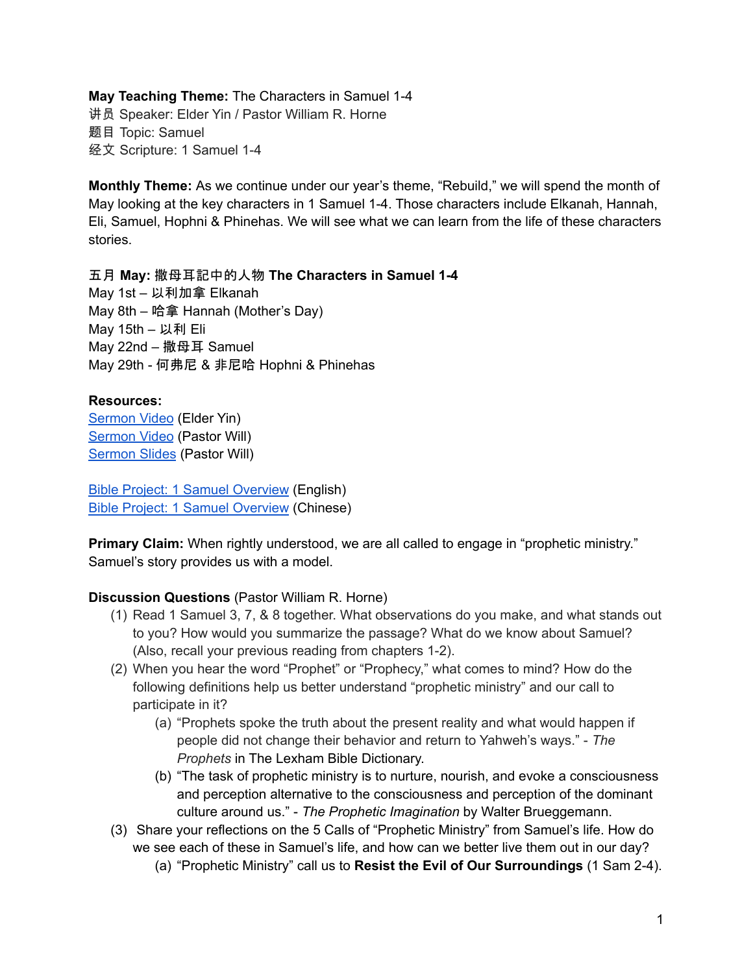**May Teaching Theme:** The Characters in Samuel 1-4 讲员 Speaker: Elder Yin / Pastor William R. Horne 题目 Topic: Samuel 经文 Scripture: 1 Samuel 1-4

**Monthly Theme:** As we continue under our year's theme, "Rebuild," we will spend the month of May looking at the key characters in 1 Samuel 1-4. Those characters include Elkanah, Hannah, Eli, Samuel, Hophni & Phinehas. We will see what we can learn from the life of these characters stories.

五月 **May:** 撒母耳記中的人物 **The Characters in Samuel 1-4** May 1st – 以利加拿 Elkanah May 8th – 哈拿 Hannah (Mother's Day) May 15th – 以利 Eli May 22nd – 撒母耳 Samuel May 29th - 何弗尼 & 非尼哈 Hophni & Phinehas

## **Resources:**

[Sermon](https://www.youtube.com/watch?v=XGcPGhIeeHk) Video (Elder Yin) [Sermon](https://www.youtube.com/watch?v=3U-dhwayLLc) Video (Pastor Will) [Sermon](https://docs.google.com/presentation/d/1K-edyARV6UPyHGcc2VXFKwq6wZqY0o__AZXkvJ6DNic/edit?usp=sharing) Slides (Pastor Will)

Bible Project: 1 Samuel [Overview](https://bibleproject.com/explore/video/1-samuel/) (English) Bible Project: 1 Samuel [Overview](https://www.youtube.com/watch?v=LO2pgCfIES4) (Chinese)

**Primary Claim:** When rightly understood, we are all called to engage in "prophetic ministry." Samuel's story provides us with a model.

## **Discussion Questions** (Pastor William R. Horne)

- (1) Read 1 Samuel 3, 7, & 8 together. What observations do you make, and what stands out to you? How would you summarize the passage? What do we know about Samuel? (Also, recall your previous reading from chapters 1-2).
- (2) When you hear the word "Prophet" or "Prophecy," what comes to mind? How do the following definitions help us better understand "prophetic ministry" and our call to participate in it?
	- (a) "Prophets spoke the truth about the present reality and what would happen if people did not change their behavior and return to Yahweh's ways." - *The Prophets* in The Lexham Bible Dictionary.
	- (b) "The task of prophetic ministry is to nurture, nourish, and evoke a consciousness and perception alternative to the consciousness and perception of the dominant culture around us." - *The Prophetic Imagination* by Walter Brueggemann.
- (3) Share your reflections on the 5 Calls of "Prophetic Ministry" from Samuel's life. How do we see each of these in Samuel's life, and how can we better live them out in our day?
	- (a) "Prophetic Ministry" call us to **Resist the Evil of Our Surroundings** (1 Sam 2-4).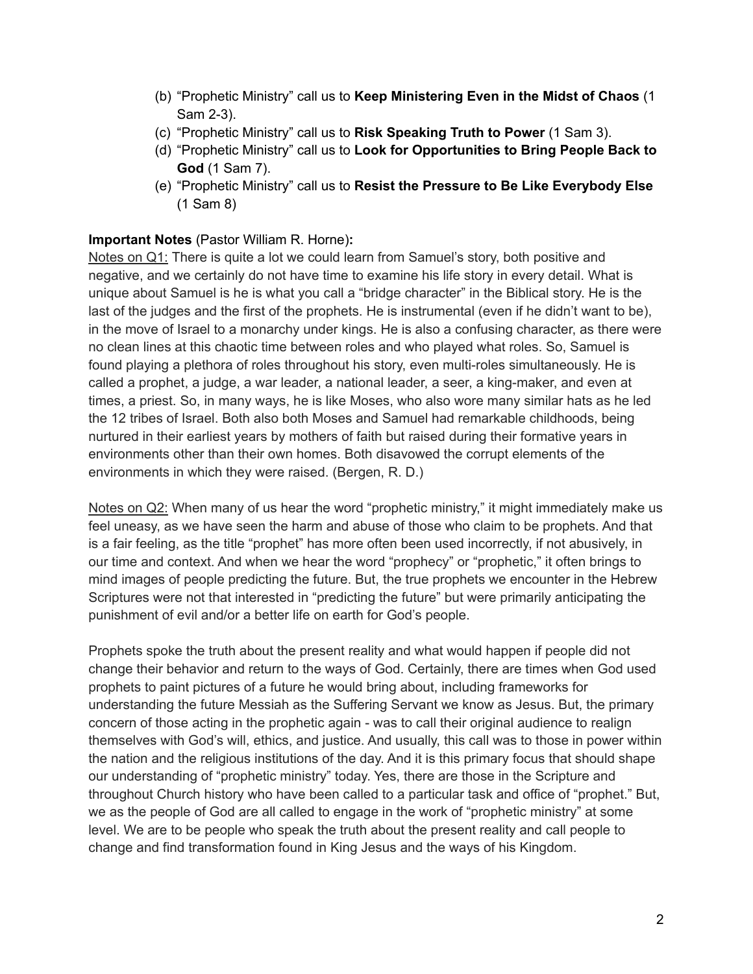- (b) "Prophetic Ministry" call us to **Keep Ministering Even in the Midst of Chaos** (1 Sam 2-3).
- (c) "Prophetic Ministry" call us to **Risk Speaking Truth to Power** (1 Sam 3).
- (d) "Prophetic Ministry" call us to **Look for Opportunities to Bring People Back to God** (1 Sam 7).
- (e) "Prophetic Ministry" call us to **Resist the Pressure to Be Like Everybody Else** (1 Sam 8)

## **Important Notes** (Pastor William R. Horne)**:**

Notes on Q1: There is quite a lot we could learn from Samuel's story, both positive and negative, and we certainly do not have time to examine his life story in every detail. What is unique about Samuel is he is what you call a "bridge character" in the Biblical story. He is the last of the judges and the first of the prophets. He is instrumental (even if he didn't want to be), in the move of Israel to a monarchy under kings. He is also a confusing character, as there were no clean lines at this chaotic time between roles and who played what roles. So, Samuel is found playing a plethora of roles throughout his story, even multi-roles simultaneously. He is called a prophet, a judge, a war leader, a national leader, a seer, a king-maker, and even at times, a priest. So, in many ways, he is like Moses, who also wore many similar hats as he led the 12 tribes of Israel. Both also both Moses and Samuel had remarkable childhoods, being nurtured in their earliest years by mothers of faith but raised during their formative years in environments other than their own homes. Both disavowed the corrupt elements of the environments in which they were raised. (Bergen, R. D.)

Notes on Q2: When many of us hear the word "prophetic ministry," it might immediately make us feel uneasy, as we have seen the harm and abuse of those who claim to be prophets. And that is a fair feeling, as the title "prophet" has more often been used incorrectly, if not abusively, in our time and context. And when we hear the word "prophecy" or "prophetic," it often brings to mind images of people predicting the future. But, the true prophets we encounter in the Hebrew Scriptures were not that interested in "predicting the future" but were primarily anticipating the punishment of evil and/or a better life on earth for God's people.

Prophets spoke the truth about the present reality and what would happen if people did not change their behavior and return to the ways of God. Certainly, there are times when God used prophets to paint pictures of a future he would bring about, including frameworks for understanding the future Messiah as the Suffering Servant we know as Jesus. But, the primary concern of those acting in the prophetic again - was to call their original audience to realign themselves with God's will, ethics, and justice. And usually, this call was to those in power within the nation and the religious institutions of the day. And it is this primary focus that should shape our understanding of "prophetic ministry" today. Yes, there are those in the Scripture and throughout Church history who have been called to a particular task and office of "prophet." But, we as the people of God are all called to engage in the work of "prophetic ministry" at some level. We are to be people who speak the truth about the present reality and call people to change and find transformation found in King Jesus and the ways of his Kingdom.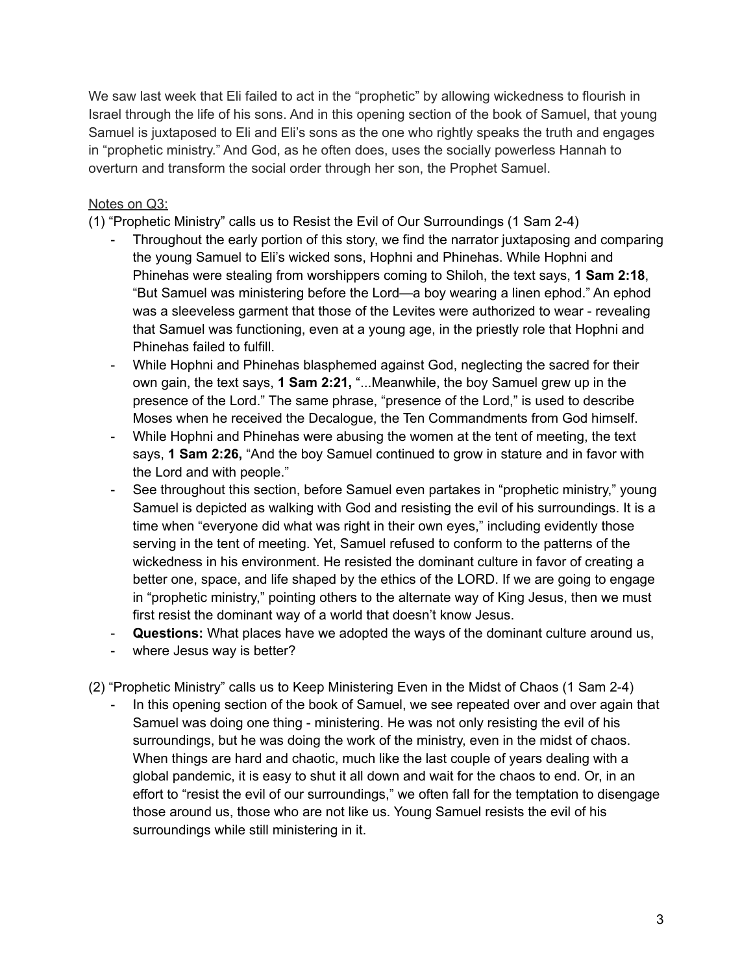We saw last week that Eli failed to act in the "prophetic" by allowing wickedness to flourish in Israel through the life of his sons. And in this opening section of the book of Samuel, that young Samuel is juxtaposed to Eli and Eli's sons as the one who rightly speaks the truth and engages in "prophetic ministry." And God, as he often does, uses the socially powerless Hannah to overturn and transform the social order through her son, the Prophet Samuel.

## Notes on Q3:

(1) "Prophetic Ministry" calls us to Resist the Evil of Our Surroundings (1 Sam 2-4)

- Throughout the early portion of this story, we find the narrator juxtaposing and comparing the young Samuel to Eli's wicked sons, Hophni and Phinehas. While Hophni and Phinehas were stealing from worshippers coming to Shiloh, the text says, **1 Sam 2:18**, "But Samuel was ministering before the Lord—a boy wearing a linen ephod." An ephod was a sleeveless garment that those of the Levites were authorized to wear - revealing that Samuel was functioning, even at a young age, in the priestly role that Hophni and Phinehas failed to fulfill.
- While Hophni and Phinehas blasphemed against God, neglecting the sacred for their own gain, the text says, **1 Sam 2:21,** "...Meanwhile, the boy Samuel grew up in the presence of the Lord." The same phrase, "presence of the Lord," is used to describe Moses when he received the Decalogue, the Ten Commandments from God himself.
- While Hophni and Phinehas were abusing the women at the tent of meeting, the text says, **1 Sam 2:26,** "And the boy Samuel continued to grow in stature and in favor with the Lord and with people."
- See throughout this section, before Samuel even partakes in "prophetic ministry," young Samuel is depicted as walking with God and resisting the evil of his surroundings. It is a time when "everyone did what was right in their own eyes," including evidently those serving in the tent of meeting. Yet, Samuel refused to conform to the patterns of the wickedness in his environment. He resisted the dominant culture in favor of creating a better one, space, and life shaped by the ethics of the LORD. If we are going to engage in "prophetic ministry," pointing others to the alternate way of King Jesus, then we must first resist the dominant way of a world that doesn't know Jesus.
- **Questions:** What places have we adopted the ways of the dominant culture around us,
- where Jesus way is better?

(2) "Prophetic Ministry" calls us to Keep Ministering Even in the Midst of Chaos (1 Sam 2-4)

In this opening section of the book of Samuel, we see repeated over and over again that Samuel was doing one thing - ministering. He was not only resisting the evil of his surroundings, but he was doing the work of the ministry, even in the midst of chaos. When things are hard and chaotic, much like the last couple of years dealing with a global pandemic, it is easy to shut it all down and wait for the chaos to end. Or, in an effort to "resist the evil of our surroundings," we often fall for the temptation to disengage those around us, those who are not like us. Young Samuel resists the evil of his surroundings while still ministering in it.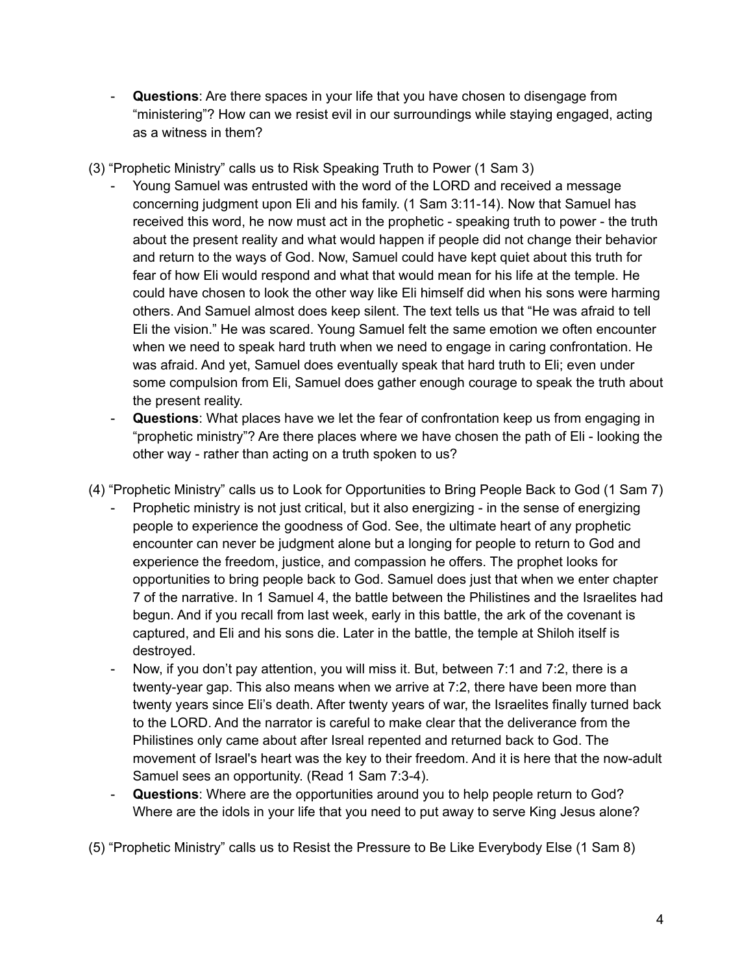- **Questions**: Are there spaces in your life that you have chosen to disengage from "ministering"? How can we resist evil in our surroundings while staying engaged, acting as a witness in them?
- (3) "Prophetic Ministry" calls us to Risk Speaking Truth to Power (1 Sam 3)
	- Young Samuel was entrusted with the word of the LORD and received a message concerning judgment upon Eli and his family. (1 Sam 3:11-14). Now that Samuel has received this word, he now must act in the prophetic - speaking truth to power - the truth about the present reality and what would happen if people did not change their behavior and return to the ways of God. Now, Samuel could have kept quiet about this truth for fear of how Eli would respond and what that would mean for his life at the temple. He could have chosen to look the other way like Eli himself did when his sons were harming others. And Samuel almost does keep silent. The text tells us that "He was afraid to tell Eli the vision." He was scared. Young Samuel felt the same emotion we often encounter when we need to speak hard truth when we need to engage in caring confrontation. He was afraid. And yet, Samuel does eventually speak that hard truth to Eli; even under some compulsion from Eli, Samuel does gather enough courage to speak the truth about the present reality.
	- **Questions**: What places have we let the fear of confrontation keep us from engaging in "prophetic ministry"? Are there places where we have chosen the path of Eli - looking the other way - rather than acting on a truth spoken to us?
- (4) "Prophetic Ministry" calls us to Look for Opportunities to Bring People Back to God (1 Sam 7)
	- Prophetic ministry is not just critical, but it also energizing in the sense of energizing people to experience the goodness of God. See, the ultimate heart of any prophetic encounter can never be judgment alone but a longing for people to return to God and experience the freedom, justice, and compassion he offers. The prophet looks for opportunities to bring people back to God. Samuel does just that when we enter chapter 7 of the narrative. In 1 Samuel 4, the battle between the Philistines and the Israelites had begun. And if you recall from last week, early in this battle, the ark of the covenant is captured, and Eli and his sons die. Later in the battle, the temple at Shiloh itself is destroyed.
	- Now, if you don't pay attention, you will miss it. But, between 7:1 and 7:2, there is a twenty-year gap. This also means when we arrive at 7:2, there have been more than twenty years since Eli's death. After twenty years of war, the Israelites finally turned back to the LORD. And the narrator is careful to make clear that the deliverance from the Philistines only came about after Isreal repented and returned back to God. The movement of Israel's heart was the key to their freedom. And it is here that the now-adult Samuel sees an opportunity. (Read 1 Sam 7:3-4).
	- **Questions**: Where are the opportunities around you to help people return to God? Where are the idols in your life that you need to put away to serve King Jesus alone?

(5) "Prophetic Ministry" calls us to Resist the Pressure to Be Like Everybody Else (1 Sam 8)